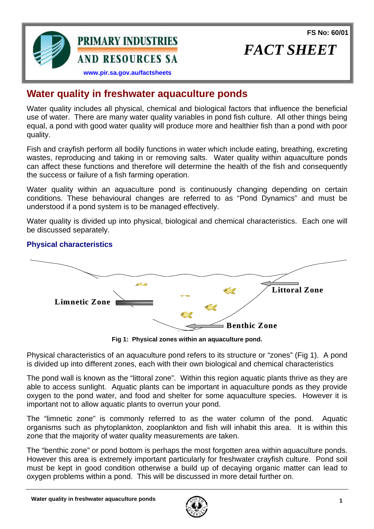**FS No: 60/01**

*FACT SHEET* 



# **Water quality in freshwater aquaculture ponds**

Water quality includes all physical, chemical and biological factors that influence the beneficial use of water. There are many water quality variables in pond fish culture. All other things being equal, a pond with good water quality will produce more and healthier fish than a pond with poor quality.

Fish and crayfish perform all bodily functions in water which include eating, breathing, excreting wastes, reproducing and taking in or removing salts. Water quality within aquaculture ponds can affect these functions and therefore will determine the health of the fish and consequently the success or failure of a fish farming operation.

Water quality within an aquaculture pond is continuously changing depending on certain conditions. These behavioural changes are referred to as "Pond Dynamics" and must be understood if a pond system is to be managed effectively.

Water quality is divided up into physical, biological and chemical characteristics. Each one will be discussed separately.

### **Physical characteristics**



**Fig 1: Physical zones within an aquaculture pond.** 

Physical characteristics of an aquaculture pond refers to its structure or "zones" (Fig 1). A pond is divided up into different zones, each with their own biological and chemical characteristics

The pond wall is known as the "littoral zone". Within this region aquatic plants thrive as they are able to access sunlight. Aquatic plants can be important in aquaculture ponds as they provide oxygen to the pond water, and food and shelter for some aquaculture species. However it is important not to allow aquatic plants to overrun your pond.

The "limnetic zone" is commonly referred to as the water column of the pond. Aquatic organisms such as phytoplankton, zooplankton and fish will inhabit this area. It is within this zone that the majority of water quality measurements are taken.

The "benthic zone" or pond bottom is perhaps the most forgotten area within aquaculture ponds. However this area is extremely important particularly for freshwater crayfish culture. Pond soil must be kept in good condition otherwise a build up of decaying organic matter can lead to oxygen problems within a pond. This will be discussed in more detail further on.

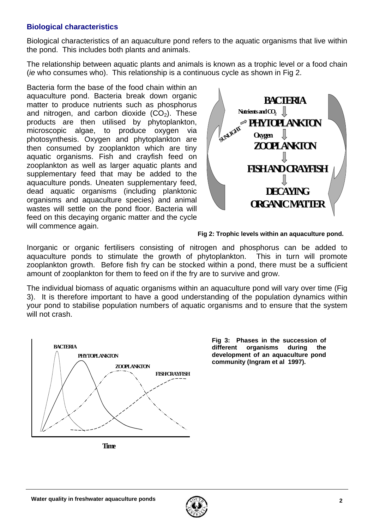#### **Biological characteristics**

Biological characteristics of an aquaculture pond refers to the aquatic organisms that live within the pond. This includes both plants and animals.

The relationship between aquatic plants and animals is known as a trophic level or a food chain (*ie* who consumes who). This relationship is a continuous cycle as shown in Fig 2.

Bacteria form the base of the food chain within an aquaculture pond. Bacteria break down organic matter to produce nutrients such as phosphorus and nitrogen, and carbon dioxide  $(CO<sub>2</sub>)$ . These products are then utilised by phytoplankton, microscopic algae, to produce oxygen via photosynthesis. Oxygen and phytoplankton are then consumed by zooplankton which are tiny aquatic organisms. Fish and crayfish feed on zooplankton as well as larger aquatic plants and supplementary feed that may be added to the aquaculture ponds. Uneaten supplementary feed, dead aquatic organisms (including planktonic organisms and aquaculture species) and animal wastes will settle on the pond floor. Bacteria will feed on this decaying organic matter and the cycle will commence again.



**Fig 2: Trophic levels within an aquaculture pond.**

Inorganic or organic fertilisers consisting of nitrogen and phosphorus can be added to aquaculture ponds to stimulate the growth of phytoplankton. This in turn will promote zooplankton growth. Before fish fry can be stocked within a pond, there must be a sufficient amount of zooplankton for them to feed on if the fry are to survive and grow.

The individual biomass of aquatic organisms within an aquaculture pond will vary over time (Fig 3). It is therefore important to have a good understanding of the population dynamics within your pond to stabilise population numbers of aquatic organisms and to ensure that the system will not crash.



**Fig 3: Phases in the succession of different organisms during the development of an aquaculture pond community (Ingram et al 1997).** 

**Time**

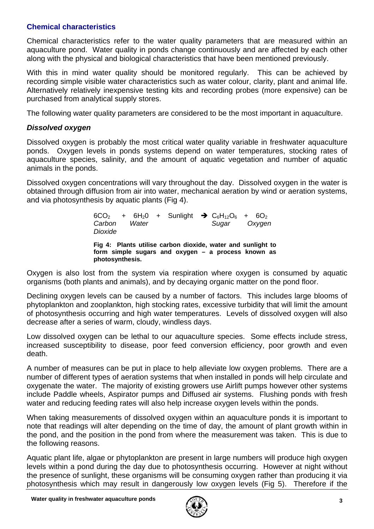### **Chemical characteristics**

Chemical characteristics refer to the water quality parameters that are measured within an aquaculture pond. Water quality in ponds change continuously and are affected by each other along with the physical and biological characteristics that have been mentioned previously.

With this in mind water quality should be monitored regularly. This can be achieved by recording simple visible water characteristics such as water colour, clarity, plant and animal life. Alternatively relatively inexpensive testing kits and recording probes (more expensive) can be purchased from analytical supply stores.

The following water quality parameters are considered to be the most important in aquaculture.

### *Dissolved oxygen*

Dissolved oxygen is probably the most critical water quality variable in freshwater aquaculture ponds. Oxygen levels in ponds systems depend on water temperatures, stocking rates of aquaculture species, salinity, and the amount of aquatic vegetation and number of aquatic animals in the ponds.

Dissolved oxygen concentrations will vary throughout the day. Dissolved oxygen in the water is obtained through diffusion from air into water, mechanical aeration by wind or aeration systems, and via photosynthesis by aquatic plants (Fig 4).

> $6CO_2$  +  $6H_2O$  + Sunlight  $\rightarrow C_6H_{12}O_6$  +  $6O_2$ *Carbon Water Sugar Oxygen Dioxide*  **Fig 4: Plants utilise carbon dioxide, water and sunlight to form simple sugars and oxygen – a process known as photosynthesis.**

Oxygen is also lost from the system via respiration where oxygen is consumed by aquatic organisms (both plants and animals), and by decaying organic matter on the pond floor.

Declining oxygen levels can be caused by a number of factors. This includes large blooms of phytoplankton and zooplankton, high stocking rates, excessive turbidity that will limit the amount of photosynthesis occurring and high water temperatures. Levels of dissolved oxygen will also decrease after a series of warm, cloudy, windless days.

Low dissolved oxygen can be lethal to our aquaculture species. Some effects include stress, increased susceptibility to disease, poor feed conversion efficiency, poor growth and even death.

A number of measures can be put in place to help alleviate low oxygen problems. There are a number of different types of aeration systems that when installed in ponds will help circulate and oxygenate the water. The majority of existing growers use Airlift pumps however other systems include Paddle wheels, Aspirator pumps and Diffused air systems. Flushing ponds with fresh water and reducing feeding rates will also help increase oxygen levels within the ponds.

When taking measurements of dissolved oxygen within an aquaculture ponds it is important to note that readings will alter depending on the time of day, the amount of plant growth within in the pond, and the position in the pond from where the measurement was taken. This is due to the following reasons.

Aquatic plant life, algae or phytoplankton are present in large numbers will produce high oxygen levels within a pond during the day due to photosynthesis occurring. However at night without the presence of sunlight, these organisms will be consuming oxygen rather than producing it via photosynthesis which may result in dangerously low oxygen levels (Fig 5). Therefore if the

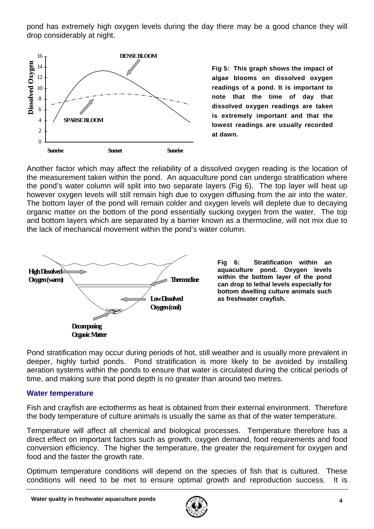pond has extremely high oxygen levels during the day there may be a good chance they will drop considerably at night.



**Fig 5: This graph shows the impact of algae blooms on dissolved oxygen readings of a pond. It is important to note that the time of day that dissolved oxygen readings are taken is extremely important and that the lowest readings are usually recorded at dawn.** 

Another factor which may affect the reliability of a dissolved oxygen reading is the location of the measurement taken within the pond. An aquaculture pond can undergo stratification where the pond's water column will split into two separate layers (Fig 6). The top layer will heat up however oxygen levels will still remain high due to oxygen diffusing from the air into the water. The bottom layer of the pond will remain colder and oxygen levels will deplete due to decaying organic matter on the bottom of the pond essentially sucking oxygen from the water. The top and bottom layers which are separated by a barrier known as a thermocline, will not mix due to the lack of mechanical movement within the pond's water column.



**Fig 6: Stratification within an aquaculture pond. Oxygen levels within the bottom layer of the pond can drop to lethal levels especially for bottom dwelling culture animals such as freshwater crayfish.** 

Pond stratification may occur during periods of hot, still weather and is usually more prevalent in deeper, highly turbid ponds. Pond stratification is more likely to be avoided by installing aeration systems within the ponds to ensure that water is circulated during the critical periods of time, and making sure that pond depth is no greater than around two metres.

#### **Water temperature**

Fish and crayfish are ectotherms as heat is obtained from their external environment. Therefore the body temperature of culture animals is usually the same as that of the water temperature.

Temperature will affect all chemical and biological processes. Temperature therefore has a direct effect on important factors such as growth, oxygen demand, food requirements and food conversion efficiency. The higher the temperature, the greater the requirement for oxygen and food and the faster the growth rate.

Optimum temperature conditions will depend on the species of fish that is cultured. These conditions will need to be met to ensure optimal growth and reproduction success. It is

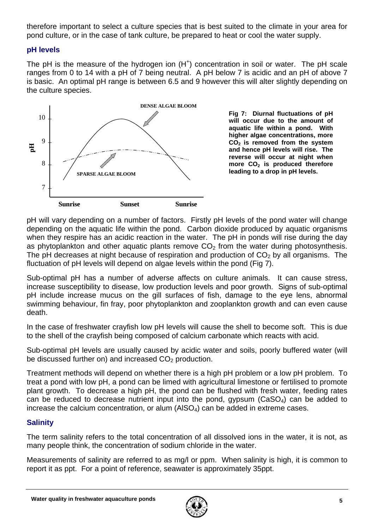therefore important to select a culture species that is best suited to the climate in your area for pond culture, or in the case of tank culture, be prepared to heat or cool the water supply.

### **pH levels**

The pH is the measure of the hydrogen ion  $(H<sup>+</sup>)$  concentration in soil or water. The pH scale ranges from 0 to 14 with a pH of 7 being neutral. A pH below 7 is acidic and an pH of above 7 is basic. An optimal pH range is between 6.5 and 9 however this will alter slightly depending on the culture species.



**Fig 7: Diurnal fluctuations of pH will occur due to the amount of aquatic life within a pond. With higher algae concentrations, more CO2 is removed from the system and hence pH levels will rise. The reverse will occur at night when more CO2 is produced therefore leading to a drop in pH levels.** 

pH will vary depending on a number of factors. Firstly pH levels of the pond water will change depending on the aquatic life within the pond. Carbon dioxide produced by aquatic organisms when they respire has an acidic reaction in the water. The pH in ponds will rise during the day as phytoplankton and other aquatic plants remove  $CO<sub>2</sub>$  from the water during photosynthesis. The pH decreases at night because of respiration and production of  $CO<sub>2</sub>$  by all organisms. The fluctuation of pH levels will depend on algae levels within the pond (Fig 7).

Sub-optimal pH has a number of adverse affects on culture animals. It can cause stress, increase susceptibility to disease, low production levels and poor growth. Signs of sub-optimal pH include increase mucus on the gill surfaces of fish, damage to the eye lens, abnormal swimming behaviour, fin fray, poor phytoplankton and zooplankton growth and can even cause death.

In the case of freshwater crayfish low pH levels will cause the shell to become soft. This is due to the shell of the crayfish being composed of calcium carbonate which reacts with acid.

Sub-optimal pH levels are usually caused by acidic water and soils, poorly buffered water (will be discussed further on) and increased  $CO<sub>2</sub>$  production.

Treatment methods will depend on whether there is a high pH problem or a low pH problem. To treat a pond with low pH, a pond can be limed with agricultural limestone or fertilised to promote plant growth. To decrease a high pH, the pond can be flushed with fresh water, feeding rates can be reduced to decrease nutrient input into the pond, gypsum  $(CaSO<sub>4</sub>)$  can be added to increase the calcium concentration, or alum  $(Also<sub>4</sub>)$  can be added in extreme cases.

#### **Salinity**

The term salinity refers to the total concentration of all dissolved ions in the water, it is not, as many people think, the concentration of sodium chloride in the water.

Measurements of salinity are referred to as mg/l or ppm. When salinity is high, it is common to report it as ppt. For a point of reference, seawater is approximately 35ppt.

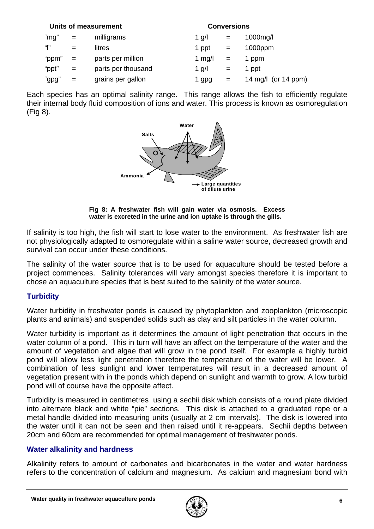|       |     | Units of measurement | <b>Conversions</b> |     |                       |
|-------|-----|----------------------|--------------------|-----|-----------------------|
| "mg"  | $=$ | milligrams           | 1 g/l              | $=$ | $1000$ mg/l           |
| " "   | $=$ | litres               | 1 ppt              | $=$ | 1000ppm               |
| "ppm" | $=$ | parts per million    | 1 mg/l             | $=$ | 1 ppm                 |
| "ppt" | $=$ | parts per thousand   | 1 g/l              | $=$ | 1 ppt                 |
| "gpg" | $=$ | grains per gallon    | 1 gpg              | $=$ | 14 mg/l (or $14$ ppm) |

Each species has an optimal salinity range. This range allows the fish to efficiently regulate their internal body fluid composition of ions and water. This process is known as osmoregulation (Fig 8).



**Fig 8: A freshwater fish will gain water via osmosis. Excess water is excreted in the urine and ion uptake is through the gills.** 

If salinity is too high, the fish will start to lose water to the environment. As freshwater fish are not physiologically adapted to osmoregulate within a saline water source, decreased growth and survival can occur under these conditions.

The salinity of the water source that is to be used for aquaculture should be tested before a project commences. Salinity tolerances will vary amongst species therefore it is important to chose an aquaculture species that is best suited to the salinity of the water source.

## **Turbidity**

Water turbidity in freshwater ponds is caused by phytoplankton and zooplankton (microscopic plants and animals) and suspended solids such as clay and silt particles in the water column.

Water turbidity is important as it determines the amount of light penetration that occurs in the water column of a pond. This in turn will have an affect on the temperature of the water and the amount of vegetation and algae that will grow in the pond itself. For example a highly turbid pond will allow less light penetration therefore the temperature of the water will be lower. A combination of less sunlight and lower temperatures will result in a decreased amount of vegetation present with in the ponds which depend on sunlight and warmth to grow. A low turbid pond will of course have the opposite affect.

Turbidity is measured in centimetres using a sechii disk which consists of a round plate divided into alternate black and white "pie" sections. This disk is attached to a graduated rope or a metal handle divided into measuring units (usually at 2 cm intervals). The disk is lowered into the water until it can not be seen and then raised until it re-appears. Sechii depths between 20cm and 60cm are recommended for optimal management of freshwater ponds.

#### **Water alkalinity and hardness**

Alkalinity refers to amount of carbonates and bicarbonates in the water and water hardness refers to the concentration of calcium and magnesium. As calcium and magnesium bond with

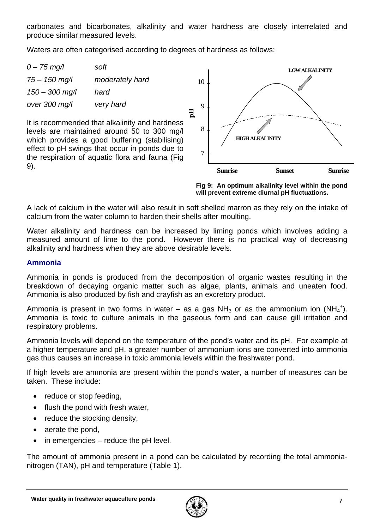carbonates and bicarbonates, alkalinity and water hardness are closely interrelated and produce similar measured levels.

Waters are often categorised according to degrees of hardness as follows:



**Fig 9: An optimum alkalinity level within the pond will prevent extreme diurnal pH fluctuations.** 

A lack of calcium in the water will also result in soft shelled marron as they rely on the intake of calcium from the water column to harden their shells after moulting.

Water alkalinity and hardness can be increased by liming ponds which involves adding a measured amount of lime to the pond. However there is no practical way of decreasing alkalinity and hardness when they are above desirable levels.

#### **Ammonia**

Ammonia in ponds is produced from the decomposition of organic wastes resulting in the breakdown of decaying organic matter such as algae, plants, animals and uneaten food. Ammonia is also produced by fish and crayfish as an excretory product.

Ammonia is present in two forms in water  $-$  as a gas NH<sub>3</sub> or as the ammonium ion (NH<sub>4</sub><sup>+</sup>). Ammonia is toxic to culture animals in the gaseous form and can cause gill irritation and respiratory problems.

Ammonia levels will depend on the temperature of the pond's water and its pH. For example at a higher temperature and pH, a greater number of ammonium ions are converted into ammonia gas thus causes an increase in toxic ammonia levels within the freshwater pond.

If high levels are ammonia are present within the pond's water, a number of measures can be taken. These include:

- reduce or stop feeding,
- flush the pond with fresh water,
- reduce the stocking density,
- aerate the pond,
- in emergencies  $-$  reduce the pH level.

The amount of ammonia present in a pond can be calculated by recording the total ammonianitrogen (TAN), pH and temperature (Table 1).

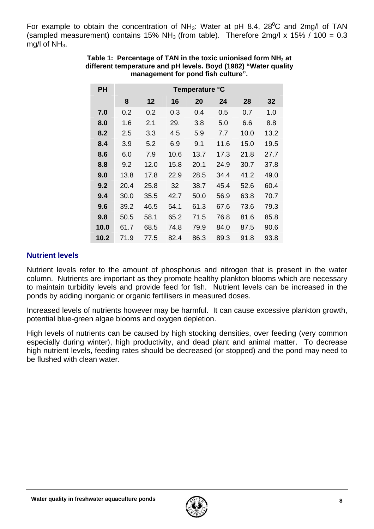For example to obtain the concentration of NH<sub>3</sub>: Water at pH 8.4, 28<sup>0</sup>C and 2mg/l of TAN (sampled measurement) contains 15% NH<sub>3</sub> (from table). Therefore 2mg/l x 15% / 100 = 0.3 mg/l of  $NH<sub>3</sub>$ .

| <b>PH</b> | Temperature °C |      |      |      |      |      |      |
|-----------|----------------|------|------|------|------|------|------|
|           | 8              | 12   | 16   | 20   | 24   | 28   | 32   |
| 7.0       | 0.2            | 0.2  | 0.3  | 0.4  | 0.5  | 0.7  | 1.0  |
| 8.0       | 1.6            | 2.1  | 29.  | 3.8  | 5.0  | 6.6  | 8.8  |
| 8.2       | 2.5            | 3.3  | 4.5  | 5.9  | 7.7  | 10.0 | 13.2 |
| 8.4       | 3.9            | 5.2  | 6.9  | 9.1  | 11.6 | 15.0 | 19.5 |
| 8.6       | 6.0            | 7.9  | 10.6 | 13.7 | 17.3 | 21.8 | 27.7 |
| 8.8       | 9.2            | 12.0 | 15.8 | 20.1 | 24.9 | 30.7 | 37.8 |
| 9.0       | 13.8           | 17.8 | 22.9 | 28.5 | 34.4 | 41.2 | 49.0 |
| 9.2       | 20.4           | 25.8 | 32   | 38.7 | 45.4 | 52.6 | 60.4 |
| 9.4       | 30.0           | 35.5 | 42.7 | 50.0 | 56.9 | 63.8 | 70.7 |
| 9.6       | 39.2           | 46.5 | 54.1 | 61.3 | 67.6 | 73.6 | 79.3 |
| 9.8       | 50.5           | 58.1 | 65.2 | 71.5 | 76.8 | 81.6 | 85.8 |
| 10.0      | 61.7           | 68.5 | 74.8 | 79.9 | 84.0 | 87.5 | 90.6 |
| 10.2      | 71.9           | 77.5 | 82.4 | 86.3 | 89.3 | 91.8 | 93.8 |

#### Table 1: Percentage of TAN in the toxic unionised form NH<sub>3</sub> at **different temperature and pH levels. Boyd (1982) "Water quality management for pond fish culture".**

### **Nutrient levels**

Nutrient levels refer to the amount of phosphorus and nitrogen that is present in the water column. Nutrients are important as they promote healthy plankton blooms which are necessary to maintain turbidity levels and provide feed for fish. Nutrient levels can be increased in the ponds by adding inorganic or organic fertilisers in measured doses.

Increased levels of nutrients however may be harmful. It can cause excessive plankton growth, potential blue-green algae blooms and oxygen depletion.

High levels of nutrients can be caused by high stocking densities, over feeding (very common especially during winter), high productivity, and dead plant and animal matter. To decrease high nutrient levels, feeding rates should be decreased (or stopped) and the pond may need to be flushed with clean water.

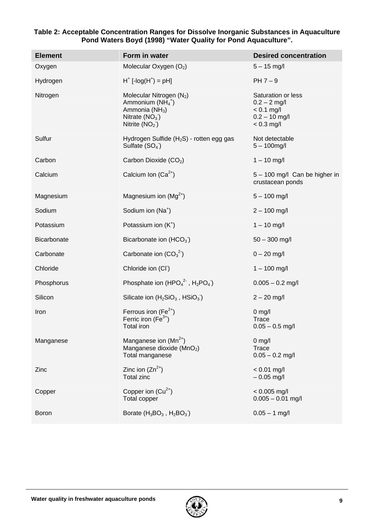| <b>Element</b> | Form in water                                                                                                                   | <b>Desired concentration</b>                                                            |
|----------------|---------------------------------------------------------------------------------------------------------------------------------|-----------------------------------------------------------------------------------------|
| Oxygen         | Molecular Oxygen (O2)                                                                                                           | $5 - 15$ mg/l                                                                           |
| Hydrogen       | $H^+$ [-log( $H^+$ ) = pH]                                                                                                      | $PH 7-9$                                                                                |
| Nitrogen       | Molecular Nitrogen (N <sub>2</sub> )<br>Ammonium $(NH_4^+)$<br>Ammonia (NH <sub>3</sub> )<br>Nitrate $(NO3)$<br>Nitrite $(NO2)$ | Saturation or less<br>$0.2 - 2$ mg/l<br>$< 0.1$ mg/l<br>$0.2 - 10$ mg/l<br>$< 0.3$ mg/l |
| Sulfur         | Hydrogen Sulfide $(H_2S)$ - rotten egg gas<br>Sulfate $(SO4)$                                                                   | Not detectable<br>$5 - 100$ mg/l                                                        |
| Carbon         | Carbon Dioxide (CO <sub>2</sub> )                                                                                               | $1 - 10$ mg/l                                                                           |
| Calcium        | Calcium Ion $(Ca^{2+})$                                                                                                         | 5 - 100 mg/l Can be higher in<br>crustacean ponds                                       |
| Magnesium      | Magnesium ion $(Mg^{2+})$                                                                                                       | $5 - 100$ mg/l                                                                          |
| Sodium         | Sodium ion (Na <sup>+</sup> )                                                                                                   | $2 - 100$ mg/l                                                                          |
| Potassium      | Potassium ion $(K^+)$                                                                                                           | $1 - 10$ mg/l                                                                           |
| Bicarbonate    | Bicarbonate ion (HCO <sub>3</sub> )                                                                                             | $50 - 300$ mg/l                                                                         |
| Carbonate      | Carbonate ion $(CO_3^2)$                                                                                                        | $0 - 20$ mg/l                                                                           |
| Chloride       | Chloride ion (CI)                                                                                                               | $1 - 100$ mg/l                                                                          |
| Phosphorus     | Phosphate ion $(HPO42$ , H <sub>2</sub> PO <sub>4</sub> )                                                                       | $0.005 - 0.2$ mg/l                                                                      |
| Silicon        | Silicate ion $(H_2SiO_3, HSiO_3)$                                                                                               | $2 - 20$ mg/l                                                                           |
| Iron           | Ferrous iron $(Fe2+)$<br>Ferric iron $(Fe^{3+})$<br>Total iron                                                                  | $0$ mg/l<br>Trace<br>$0.05 - 0.5$ mg/l                                                  |
| Manganese      | Manganese ion $(Mn^{2+})$<br>Manganese dioxide (MnO2)<br>Total manganese                                                        | $0$ mg/<br>Trace<br>$0.05 - 0.2$ mg/l                                                   |
| Zinc           | Zinc ion $(Zn^{2+})$<br><b>Total zinc</b>                                                                                       | $< 0.01$ mg/l<br>$-0.05$ mg/l                                                           |
| Copper         | Copper ion $(Cu^{2+})$<br>Total copper                                                                                          | $< 0.005$ mg/l<br>$0.005 - 0.01$ mg/l                                                   |
| <b>Boron</b>   | Borate $(H_3BO_3, H_2BO_3)$                                                                                                     | $0.05 - 1$ mg/l                                                                         |

#### **Table 2: Acceptable Concentration Ranges for Dissolve Inorganic Substances in Aquaculture Pond Waters Boyd (1998) "Water Quality for Pond Aquaculture".**